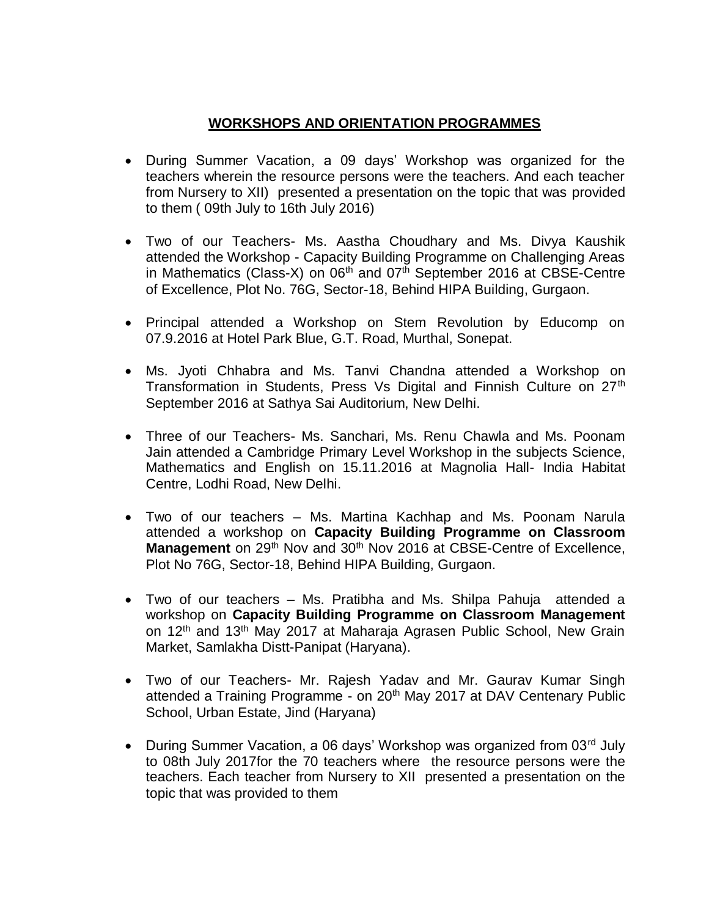## **WORKSHOPS AND ORIENTATION PROGRAMMES**

- During Summer Vacation, a 09 days' Workshop was organized for the teachers wherein the resource persons were the teachers. And each teacher from Nursery to XII) presented a presentation on the topic that was provided to them ( 09th July to 16th July 2016)
- Two of our Teachers- Ms. Aastha Choudhary and Ms. Divya Kaushik attended the Workshop - Capacity Building Programme on Challenging Areas in Mathematics (Class-X) on  $06<sup>th</sup>$  and  $07<sup>th</sup>$  September 2016 at CBSE-Centre of Excellence, Plot No. 76G, Sector-18, Behind HIPA Building, Gurgaon.
- Principal attended a Workshop on Stem Revolution by Educomp on 07.9.2016 at Hotel Park Blue, G.T. Road, Murthal, Sonepat.
- Ms. Jyoti Chhabra and Ms. Tanvi Chandna attended a Workshop on Transformation in Students, Press Vs Digital and Finnish Culture on 27<sup>th</sup> September 2016 at Sathya Sai Auditorium, New Delhi.
- Three of our Teachers- Ms. Sanchari, Ms. Renu Chawla and Ms. Poonam Jain attended a Cambridge Primary Level Workshop in the subjects Science, Mathematics and English on 15.11.2016 at Magnolia Hall- India Habitat Centre, Lodhi Road, New Delhi.
- Two of our teachers Ms. Martina Kachhap and Ms. Poonam Narula attended a workshop on **Capacity Building Programme on Classroom Management** on 29<sup>th</sup> Nov and 30<sup>th</sup> Nov 2016 at CBSE-Centre of Excellence, Plot No 76G, Sector-18, Behind HIPA Building, Gurgaon.
- Two of our teachers Ms. Pratibha and Ms. Shilpa Pahuja attended a workshop on **Capacity Building Programme on Classroom Management** on 12<sup>th</sup> and 13<sup>th</sup> May 2017 at Maharaja Agrasen Public School, New Grain Market, Samlakha Distt-Panipat (Haryana).
- Two of our Teachers- Mr. Rajesh Yadav and Mr. Gaurav Kumar Singh attended a Training Programme - on 20<sup>th</sup> May 2017 at DAV Centenary Public School, Urban Estate, Jind (Haryana)
- During Summer Vacation, a 06 days' Workshop was organized from 03<sup>rd</sup> July to 08th July 2017for the 70 teachers where the resource persons were the teachers. Each teacher from Nursery to XII presented a presentation on the topic that was provided to them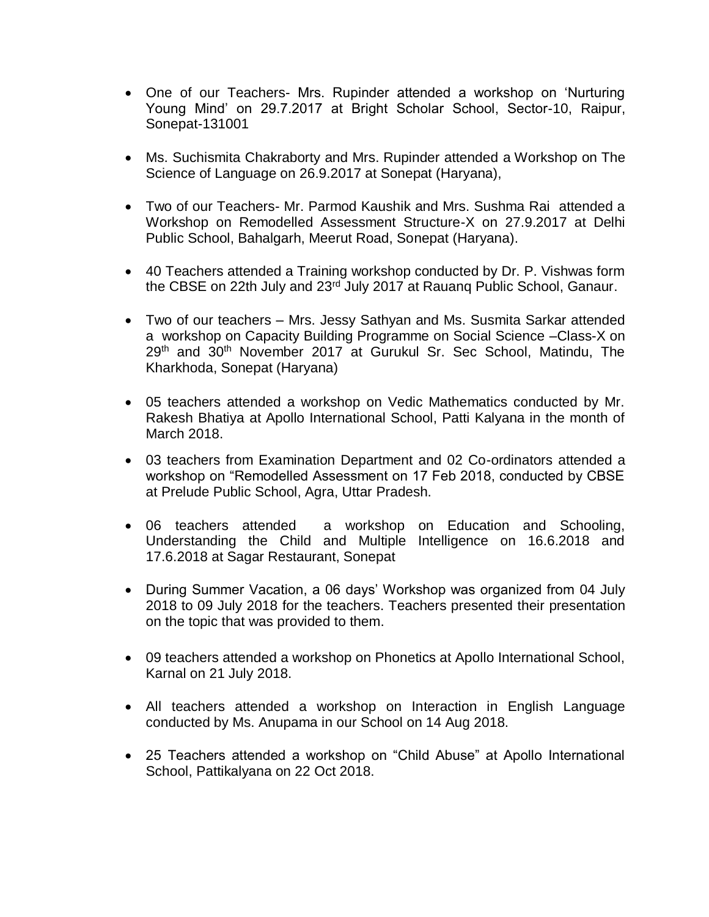- One of our Teachers- Mrs. Rupinder attended a workshop on 'Nurturing Young Mind' on 29.7.2017 at Bright Scholar School, Sector-10, Raipur, Sonepat-131001
- Ms. Suchismita Chakraborty and Mrs. Rupinder attended a Workshop on The Science of Language on 26.9.2017 at Sonepat (Haryana),
- Two of our Teachers- Mr. Parmod Kaushik and Mrs. Sushma Rai attended a Workshop on Remodelled Assessment Structure-X on 27.9.2017 at Delhi Public School, Bahalgarh, Meerut Road, Sonepat (Haryana).
- 40 Teachers attended a Training workshop conducted by Dr. P. Vishwas form the CBSE on 22th July and 23<sup>rd</sup> July 2017 at Rauang Public School, Ganaur.
- Two of our teachers Mrs. Jessy Sathyan and Ms. Susmita Sarkar attended a workshop on Capacity Building Programme on Social Science –Class-X on 29th and 30th November 2017 at Gurukul Sr. Sec School, Matindu, The Kharkhoda, Sonepat (Haryana)
- 05 teachers attended a workshop on Vedic Mathematics conducted by Mr. Rakesh Bhatiya at Apollo International School, Patti Kalyana in the month of March 2018.
- 03 teachers from Examination Department and 02 Co-ordinators attended a workshop on "Remodelled Assessment on 17 Feb 2018, conducted by CBSE at Prelude Public School, Agra, Uttar Pradesh.
- 06 teachers attended a workshop on Education and Schooling, Understanding the Child and Multiple Intelligence on 16.6.2018 and 17.6.2018 at Sagar Restaurant, Sonepat
- During Summer Vacation, a 06 days' Workshop was organized from 04 July 2018 to 09 July 2018 for the teachers. Teachers presented their presentation on the topic that was provided to them.
- 09 teachers attended a workshop on Phonetics at Apollo International School, Karnal on 21 July 2018.
- All teachers attended a workshop on Interaction in English Language conducted by Ms. Anupama in our School on 14 Aug 2018.
- 25 Teachers attended a workshop on "Child Abuse" at Apollo International School, Pattikalyana on 22 Oct 2018.